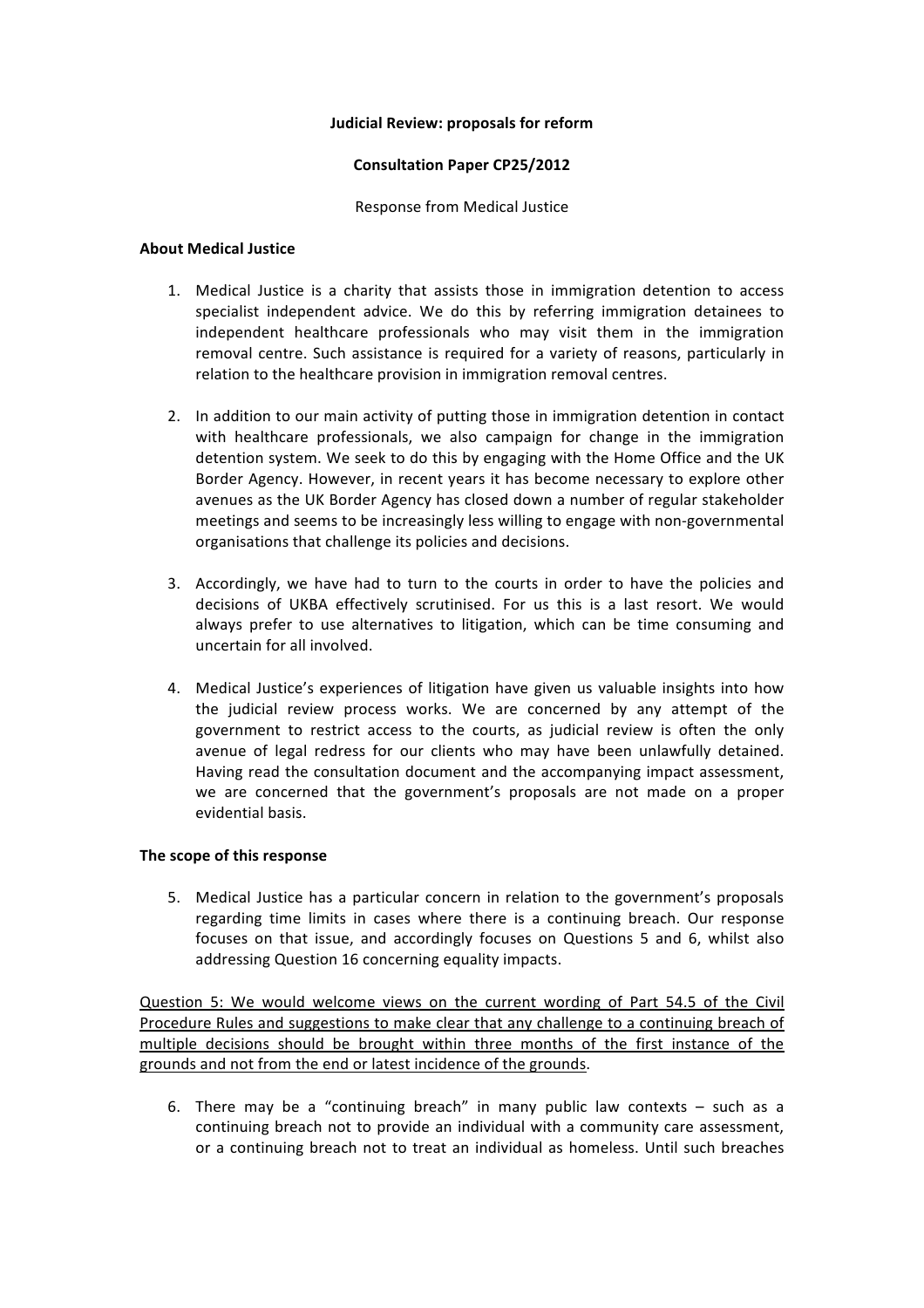### **Judicial Review: proposals for reform**

## **Consultation Paper CP25/2012**

Response from Medical Justice

### **About Medical Justice**

- 1. Medical Justice is a charity that assists those in immigration detention to access specialist independent advice. We do this by referring immigration detainees to independent healthcare professionals who may visit them in the immigration removal centre. Such assistance is required for a variety of reasons, particularly in relation to the healthcare provision in immigration removal centres.
- 2. In addition to our main activity of putting those in immigration detention in contact with healthcare professionals, we also campaign for change in the immigration detention system. We seek to do this by engaging with the Home Office and the UK Border Agency. However, in recent years it has become necessary to explore other avenues as the UK Border Agency has closed down a number of regular stakeholder meetings and seems to be increasingly less willing to engage with non-governmental organisations that challenge its policies and decisions.
- 3. Accordingly, we have had to turn to the courts in order to have the policies and decisions of UKBA effectively scrutinised. For us this is a last resort. We would always prefer to use alternatives to litigation, which can be time consuming and uncertain for all involved.
- 4. Medical Justice's experiences of litigation have given us valuable insights into how the judicial review process works. We are concerned by any attempt of the government to restrict access to the courts, as judicial review is often the only avenue of legal redress for our clients who may have been unlawfully detained. Having read the consultation document and the accompanying impact assessment, we are concerned that the government's proposals are not made on a proper evidential basis.

# **The scope of this response**

5. Medical Justice has a particular concern in relation to the government's proposals regarding time limits in cases where there is a continuing breach. Our response focuses on that issue, and accordingly focuses on Questions 5 and 6, whilst also addressing Question 16 concerning equality impacts.

Question 5: We would welcome views on the current wording of Part 54.5 of the Civil Procedure Rules and suggestions to make clear that any challenge to a continuing breach of multiple decisions should be brought within three months of the first instance of the grounds and not from the end or latest incidence of the grounds.

6. There may be a "continuing breach" in many public law contexts  $-$  such as a continuing breach not to provide an individual with a community care assessment, or a continuing breach not to treat an individual as homeless. Until such breaches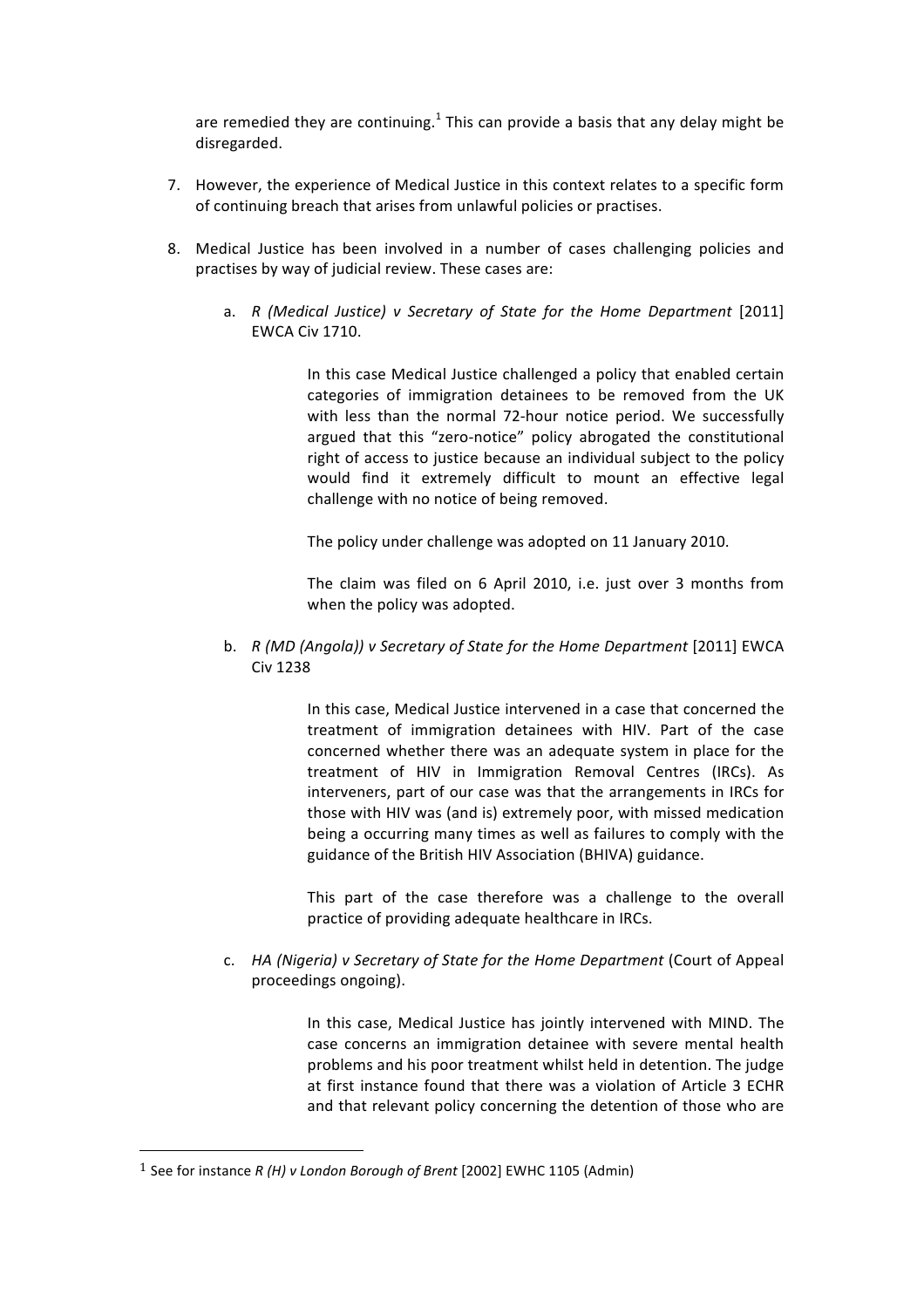are remedied they are continuing.<sup>1</sup> This can provide a basis that any delay might be disregarded.

- 7. However, the experience of Medical Justice in this context relates to a specific form of continuing breach that arises from unlawful policies or practises.
- 8. Medical Justice has been involved in a number of cases challenging policies and practises by way of judicial review. These cases are:
	- a. *R (Medical Justice) v Secretary of State for the Home Department* [2011] **EWCA Civ 1710.**

In this case Medical Justice challenged a policy that enabled certain categories of immigration detainees to be removed from the UK with less than the normal 72-hour notice period. We successfully argued that this "zero-notice" policy abrogated the constitutional right of access to justice because an individual subject to the policy would find it extremely difficult to mount an effective legal challenge with no notice of being removed.

The policy under challenge was adopted on 11 January 2010.

The claim was filed on 6 April 2010, i.e. just over 3 months from when the policy was adopted.

b. *R (MD (Angola)) v Secretary of State for the Home Department* [2011] EWCA Civ!1238

> In this case, Medical Justice intervened in a case that concerned the treatment of immigration detainees with HIV. Part of the case concerned whether there was an adequate system in place for the treatment of HIV in Immigration Removal Centres (IRCs). As interveners, part of our case was that the arrangements in IRCs for those with HIV was (and is) extremely poor, with missed medication being a occurring many times as well as failures to comply with the guidance of the British HIV Association (BHIVA) guidance.

> This part of the case therefore was a challenge to the overall practice of providing adequate healthcare in IRCs.

c. *HA (Nigeria) v Secretary of State for the Home Department* (Court of Appeal proceedings ongoing).

> In this case, Medical Justice has jointly intervened with MIND. The case concerns an immigration detainee with severe mental health problems and his poor treatment whilst held in detention. The judge at first instance found that there was a violation of Article 3 ECHR and that relevant policy concerning the detention of those who are

<sup>&</sup>lt;sup>1</sup> See for instance *R (H) v London Borough of Brent* [2002] EWHC 1105 (Admin)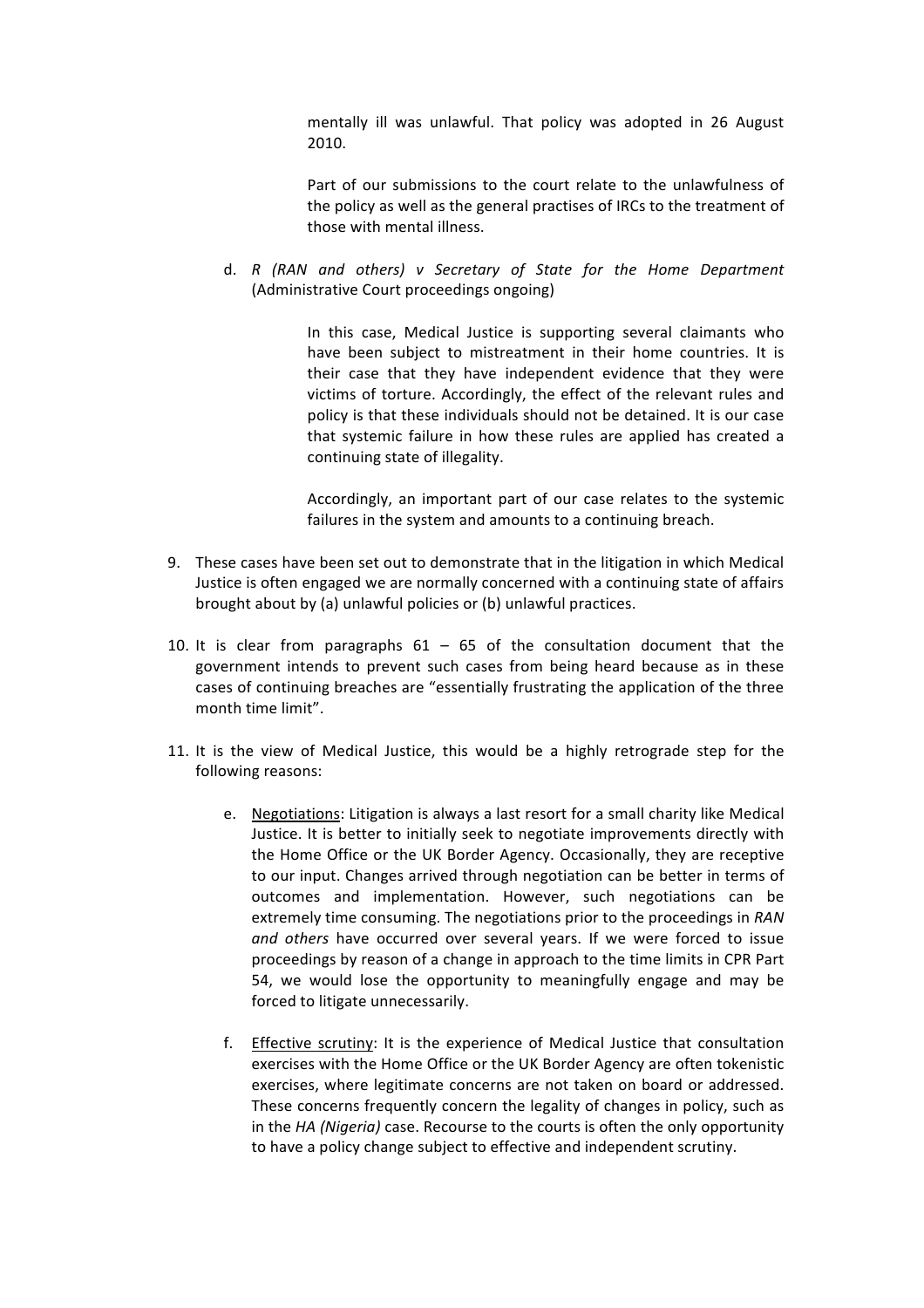mentally ill was unlawful. That policy was adopted in 26 August 2010.!

Part of our submissions to the court relate to the unlawfulness of the policy as well as the general practises of IRCs to the treatment of those with mental illness.

d. *R" (RAN" and" others)" v" Secretary" of" State" for" the" Home" Department* (Administrative Court proceedings ongoing)

> In this case, Medical Justice is supporting several claimants who have been subject to mistreatment in their home countries. It is their case that they have independent evidence that they were victims of torture. Accordingly, the effect of the relevant rules and policy is that these individuals should not be detained. It is our case that systemic failure in how these rules are applied has created a continuing state of illegality.

> Accordingly, an important part of our case relates to the systemic failures in the system and amounts to a continuing breach.

- 9. These cases have been set out to demonstrate that in the litigation in which Medical Justice is often engaged we are normally concerned with a continuing state of affairs brought about by (a) unlawful policies or (b) unlawful practices.
- 10. It is clear from paragraphs  $61 65$  of the consultation document that the government intends to prevent such cases from being heard because as in these cases of continuing breaches are "essentially frustrating the application of the three month time limit".
- 11. It is the view of Medical Justice, this would be a highly retrograde step for the following reasons:
	- e. Negotiations: Litigation is always a last resort for a small charity like Medical Justice. It is better to initially seek to negotiate improvements directly with the Home Office or the UK Border Agency. Occasionally, they are receptive to our input. Changes arrived through negotiation can be better in terms of outcomes and implementation. However, such negotiations can be extremely time consuming. The negotiations prior to the proceedings in *RAN* and others have occurred over several years. If we were forced to issue proceedings by reason of a change in approach to the time limits in CPR Part 54, we would lose the opportunity to meaningfully engage and may be forced to litigate unnecessarily.
	- f. Effective scrutiny: It is the experience of Medical Justice that consultation exercises with the Home Office or the UK Border Agency are often tokenistic exercises, where legitimate concerns are not taken on board or addressed. These concerns frequently concern the legality of changes in policy, such as in the *HA (Nigeria)* case. Recourse to the courts is often the only opportunity to have a policy change subject to effective and independent scrutiny.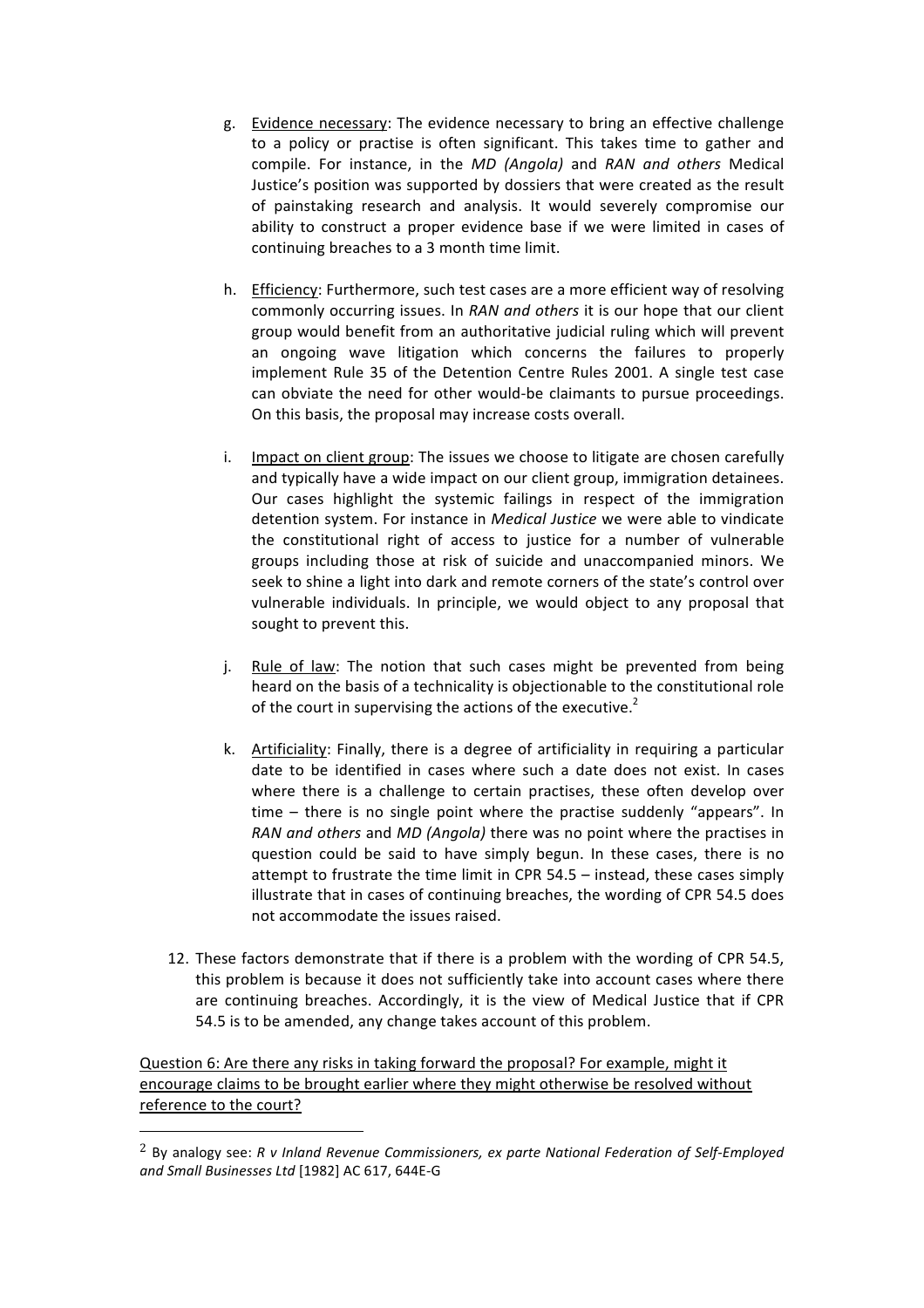- g. Evidence necessary: The evidence necessary to bring an effective challenge to a policy or practise is often significant. This takes time to gather and compile. For instance, in the *MD (Angola)* and *RAN and others* Medical Justice's position was supported by dossiers that were created as the result of painstaking research and analysis. It would severely compromise our ability to construct a proper evidence base if we were limited in cases of continuing breaches to a 3 month time limit.
- h. Efficiency: Furthermore, such test cases are a more efficient way of resolving commonly occurring issues. In *RAN and others* it is our hope that our client group would benefit from an authoritative judicial ruling which will prevent an ongoing wave litigation which concerns the failures to properly implement Rule 35 of the Detention Centre Rules 2001. A single test case can obviate the need for other would-be claimants to pursue proceedings. On this basis, the proposal may increase costs overall.
- i. Impact on client group: The issues we choose to litigate are chosen carefully and typically have a wide impact on our client group, immigration detainees. Our cases highlight the systemic failings in respect of the immigration detention system. For instance in *Medical Justice* we were able to vindicate the constitutional right of access to justice for a number of vulnerable groups including those at risk of suicide and unaccompanied minors. We seek to shine a light into dark and remote corners of the state's control over vulnerable individuals. In principle, we would object to any proposal that sought to prevent this.
- j. Rule of law: The notion that such cases might be prevented from being heard on the basis of a technicality is objectionable to the constitutional role of the court in supervising the actions of the executive.<sup>2</sup>
- k. Artificiality: Finally, there is a degree of artificiality in requiring a particular date to be identified in cases where such a date does not exist. In cases where there is a challenge to certain practises, these often develop over time  $-$  there is no single point where the practise suddenly "appears". In *RAN and others and MD (Angola)* there was no point where the practises in question could be said to have simply begun. In these cases, there is no attempt to frustrate the time limit in CPR  $54.5$  – instead, these cases simply illustrate that in cases of continuing breaches, the wording of CPR 54.5 does not accommodate the issues raised.
- 12. These factors demonstrate that if there is a problem with the wording of CPR 54.5, this problem is because it does not sufficiently take into account cases where there are continuing breaches. Accordingly, it is the view of Medical Justice that if CPR 54.5 is to be amended, any change takes account of this problem.

Question 6: Are there any risks in taking forward the proposal? For example, might it encourage claims to be brought earlier where they might otherwise be resolved without reference to the court?

<sup>&</sup>lt;sup>2</sup> By analogy see: *R v Inland Revenue Commissioners, ex parte National Federation of Self-Employed* and Small Businesses Ltd [1982] AC 617, 644E-G